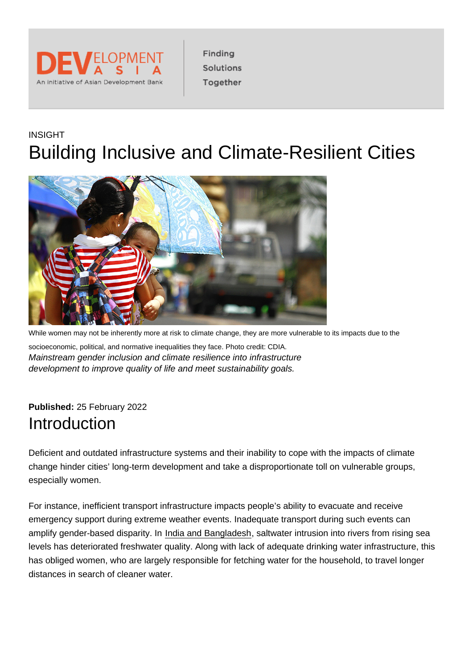# INSIGHT Building Inclusive and Climate-Resilient Cities

While women may not be inherently more at risk to climate change, they are more vulnerable to its impacts due to the socioeconomic, political, and normative inequalities they face. Photo credit: CDIA. Mainstream gender inclusion and climate resilience into infrastructure development to improve quality of life and meet sustainability goals.

Published: 25 February 2022 Introduction

Deficient and outdated infrastructure systems and their inability to cope with the impacts of climate change hinder cities' long-term development and take a disproportionate toll on vulnerable groups, especially women.

For instance, inefficient transport infrastructure impacts people's ability to evacuate and receive emergency support during extreme weather events. Inadequate transport during such events can amplify gender-based disparity. In [India and Bangladesh,](https://www.globalcitizen.org/en/content/women-india-water-saltier/) saltwater intrusion into rivers from rising sea levels has deteriorated freshwater quality. Along with lack of adequate drinking water infrastructure, this has obliged women, who are largely responsible for fetching water for the household, to travel longer distances in search of cleaner water.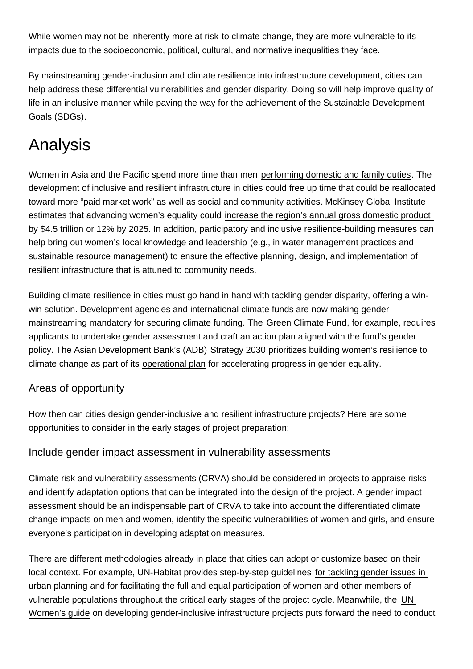While [women may not be inherently more at risk](https://www.nature.com/articles/s41467-020-19856-w.pdf) to climate change, they are more vulnerable to its impacts due to the socioeconomic, political, cultural, and normative inequalities they face.

By mainstreaming gender-inclusion and climate resilience into infrastructure development, cities can help address these differential vulnerabilities and gender disparity. Doing so will help improve quality of life in an inclusive manner while paving the way for the achievement of the Sustainable Development Goals (SDGs).

# Analysis

Women in Asia and the Pacific spend more time than men [performing domestic and family duties](https://www.adb.org/publications/balancing-burden-womens-time-poverty-and-infrastructure). The development of inclusive and resilient infrastructure in cities could free up time that could be reallocated toward more "paid market work" as well as social and community activities. McKinsey Global Institute estimates that advancing women's equality could [increase the region's annual gross domestic product](https://www.mckinsey.com/featured-insights/gender-equality/the-power-of-parity-advancing-womens-equality-in-asia-pacific)  [by \\$4.5 trillion](https://www.mckinsey.com/featured-insights/gender-equality/the-power-of-parity-advancing-womens-equality-in-asia-pacific) or 12% by 2025. In addition, participatory and inclusive resilience-building measures can help bring out women's [local knowledge and leadership](https://unfccc.int/gender) (e.g., in water management practices and sustainable resource management) to ensure the effective planning, design, and implementation of resilient infrastructure that is attuned to community needs.

Building climate resilience in cities must go hand in hand with tackling gender disparity, offering a winwin solution. Development agencies and international climate funds are now making gender mainstreaming mandatory for securing climate funding. The [Green Climate Fund,](https://www.greenclimate.fund/document/gender-policy) for example, requires applicants to undertake gender assessment and craft an action plan aligned with the fund's gender policy. The Asian Development Bank's (ADB) [Strategy 2030](https://www.adb.org/documents/strategy-2030-prosperous-inclusive-resilient-sustainable-asia-pacific) prioritizes building women's resilience to climate change as part of its [operational plan](https://www.adb.org/documents/strategy-2030-op2-gender-equality) for accelerating progress in gender equality.

## Areas of opportunity

How then can cities design gender-inclusive and resilient infrastructure projects? Here are some opportunities to consider in the early stages of project preparation:

### Include gender impact assessment in vulnerability assessments

Climate risk and vulnerability assessments (CRVA) should be considered in projects to appraise risks and identify adaptation options that can be integrated into the design of the project. A gender impact assessment should be an indispensable part of CRVA to take into account the differentiated climate change impacts on men and women, identify the specific vulnerabilities of women and girls, and ensure everyone's participation in developing adaptation measures.

There are different methodologies already in place that cities can adopt or customize based on their local context. For example, UN-Habitat provides step-by-step guidelines [for tackling gender issues in](https://unhabitat.org/sites/default/files/download-manager-files/Gender Responsive Urban Planning and Design.pdf)  [urban planning](https://unhabitat.org/sites/default/files/download-manager-files/Gender Responsive Urban Planning and Design.pdf) and for facilitating the full and equal participation of women and other members of vulnerable populations throughout the critical early stages of the project cycle. Meanwhile, the [UN](https://asiapacific.unwomen.org/sites/default/files/Field Office ESEAsia/Docs/Publications/2019/03/ap-BLS19062_GPP_WEB.pdf)  [Women's guide](https://asiapacific.unwomen.org/sites/default/files/Field Office ESEAsia/Docs/Publications/2019/03/ap-BLS19062_GPP_WEB.pdf) on developing gender-inclusive infrastructure projects puts forward the need to conduct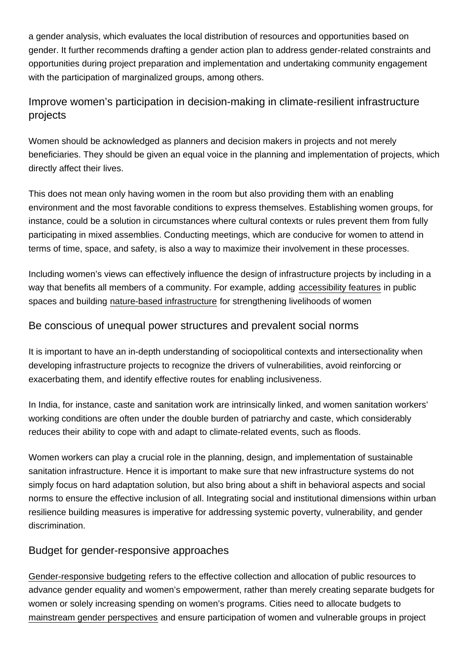a gender analysis, which evaluates the local distribution of resources and opportunities based on gender. It further recommends drafting a gender action plan to address gender-related constraints and opportunities during project preparation and implementation and undertaking community engagement with the participation of marginalized groups, among others.

# Improve women's participation in decision-making in climate-resilient infrastructure projects

Women should be acknowledged as planners and decision makers in projects and not merely beneficiaries. They should be given an equal voice in the planning and implementation of projects, which directly affect their lives.

This does not mean only having women in the room but also providing them with an enabling environment and the most favorable conditions to express themselves. Establishing women groups, for instance, could be a solution in circumstances where cultural contexts or rules prevent them from fully participating in mixed assemblies. Conducting meetings, which are conducive for women to attend in terms of time, space, and safety, is also a way to maximize their involvement in these processes.

Including women's views can effectively influence the design of infrastructure projects by including in a way that benefits all members of a community. For example, adding [accessibility features](https://www.adb.org/publications/green-spaces-guidelines-gender-responsive-design-tbilisi) in public spaces and building [nature-based infrastructure](https://www.iisd.org/articles/nature-based-infrastructure-powerful-tool-womens-empowerment-climate-adaptation) for strengthening livelihoods of women

### Be conscious of unequal power structures and prevalent social norms

It is important to have an in-depth understanding of sociopolitical contexts and intersectionality when developing infrastructure projects to recognize the drivers of vulnerabilities, avoid reinforcing or exacerbating them, and identify effective routes for enabling inclusiveness.

In India, for instance, caste and sanitation work are intrinsically linked, and women sanitation workers' working conditions are often under the double burden of patriarchy and caste, which considerably reduces their ability to cope with and adapt to climate-related events, such as floods.

Women workers can play a crucial role in the planning, design, and implementation of sustainable sanitation infrastructure. Hence it is important to make sure that new infrastructure systems do not simply focus on hard adaptation solution, but also bring about a shift in behavioral aspects and social norms to ensure the effective inclusion of all. Integrating social and institutional dimensions within urban resilience building measures is imperative for addressing systemic poverty, vulnerability, and gender discrimination.

### Budget for gender-responsive approaches

[Gender-responsive budgeting](https://asiapacific.unwomen.org/en/focus-areas/women-poverty-economics/gender-responsive-budgeting) refers to the effective collection and allocation of public resources to advance gender equality and women's empowerment, rather than merely creating separate budgets for women or solely increasing spending on women's programs. Cities need to allocate budgets to [mainstream gender perspectives](https://cdkn.org/resource/supporting-climate-action-through-gender-responsive-budgeting-in-nepal#:~:text=Women are critical actors in,equality and equity in development.) and ensure participation of women and vulnerable groups in project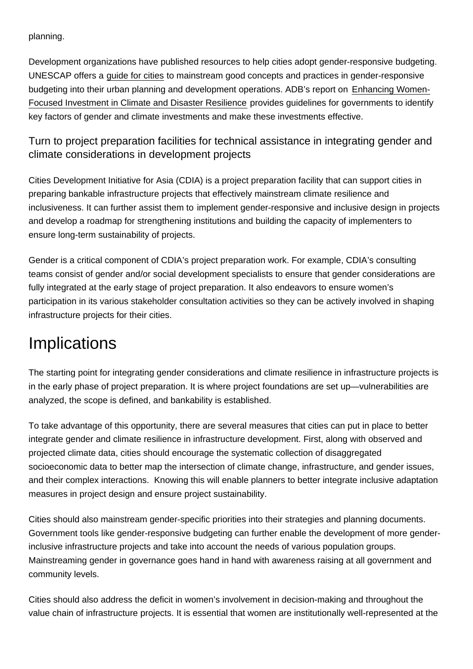planning.

Development organizations have published resources to help cities adopt gender-responsive budgeting. UNESCAP offers a [guide for cities](https://www.unescap.org/sites/default/files/SDD_Gender-Responsive_Budgeting.pdf) to mainstream good concepts and practices in gender-responsive budgeting into their urban planning and development operations. ADB's report on [Enhancing Women-](https://www.adb.org/sites/default/files/publication/605606/women-focused-climate-disaster-resilience.pdf)[Focused Investment in Climate and Disaster Resilience](https://www.adb.org/sites/default/files/publication/605606/women-focused-climate-disaster-resilience.pdf) provides guidelines for governments to identify key factors of gender and climate investments and make these investments effective.

Turn to project preparation facilities for technical assistance in integrating gender and climate considerations in development projects

Cities Development Initiative for Asia (CDIA) is a project preparation facility that can support cities in preparing bankable infrastructure projects that effectively mainstream climate resilience and inclusiveness. It can further assist them to implement gender-responsive and inclusive design in projects and develop a roadmap for strengthening institutions and building the capacity of implementers to ensure long-term sustainability of projects.

Gender is a critical component of CDIA's project preparation work. For example, CDIA's consulting teams consist of gender and/or social development specialists to ensure that gender considerations are fully integrated at the early stage of project preparation. It also endeavors to ensure women's participation in its various stakeholder consultation activities so they can be actively involved in shaping infrastructure projects for their cities.

# **Implications**

The starting point for integrating gender considerations and climate resilience in infrastructure projects is in the early phase of project preparation. It is where project foundations are set up—vulnerabilities are analyzed, the scope is defined, and bankability is established.

To take advantage of this opportunity, there are several measures that cities can put in place to better integrate gender and climate resilience in infrastructure development. First, along with observed and projected climate data, cities should encourage the systematic collection of disaggregated socioeconomic data to better map the intersection of climate change, infrastructure, and gender issues, and their complex interactions. Knowing this will enable planners to better integrate inclusive adaptation measures in project design and ensure project sustainability.

Cities should also mainstream gender-specific priorities into their strategies and planning documents. Government tools like gender-responsive budgeting can further enable the development of more genderinclusive infrastructure projects and take into account the needs of various population groups. Mainstreaming gender in governance goes hand in hand with awareness raising at all government and community levels.

Cities should also address the deficit in women's involvement in decision-making and throughout the value chain of infrastructure projects. It is essential that women are institutionally well-represented at the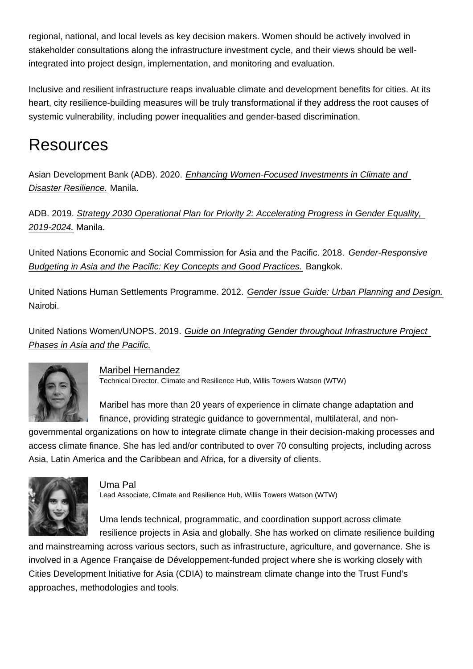regional, national, and local levels as key decision makers. Women should be actively involved in stakeholder consultations along the infrastructure investment cycle, and their views should be wellintegrated into project design, implementation, and monitoring and evaluation.

Inclusive and resilient infrastructure reaps invaluable climate and development benefits for cities. At its heart, city resilience-building measures will be truly transformational if they address the root causes of systemic vulnerability, including power inequalities and gender-based discrimination.

# Resources

Asian Development Bank (ADB). 2020. [Enhancing Women-Focused Investments in Climate and](https://www.adb.org/publications/women-focused-climate-disaster-resilience)  [Disaster Resilience.](https://www.adb.org/publications/women-focused-climate-disaster-resilience) Manila.

ADB. 2019. [Strategy 2030 Operational Plan for Priority 2: Accelerating Progress in Gender Equality,](https://www.adb.org/documents/strategy-2030-op2-gender-equality)  [2019-2024.](https://www.adb.org/documents/strategy-2030-op2-gender-equality) Manila.

United Nations Economic and Social Commission for Asia and the Pacific. 2018. [Gender-Responsive](https://www.unescap.org/resources/gender-responsive-budgeting-asia-and-pacific-key-concepts-and-good-practices)  [Budgeting in Asia and the Pacific: Key Concepts and Good Practices.](https://www.unescap.org/resources/gender-responsive-budgeting-asia-and-pacific-key-concepts-and-good-practices) Bangkok.

United Nations Human Settlements Programme. 2012. [Gender Issue Guide: Urban Planning and Design.](https://unhabitat.org/gender-responsive-urban-planning-and-design) Nairobi.

United Nations Women/UNOPS. 2019. [Guide on Integrating Gender throughout Infrastructure Project](https://asiapacific.unwomen.org/sites/default/files/Field Office ESEAsia/Docs/Publications/2019/03/ap-BLS19062_GPP_WEB.pdf)  [Phases in Asia and the Pacific.](https://asiapacific.unwomen.org/sites/default/files/Field Office ESEAsia/Docs/Publications/2019/03/ap-BLS19062_GPP_WEB.pdf)

### [Maribel Hernandez](https://development.asia/node/7871)

Technical Director, Climate and Resilience Hub, Willis Towers Watson (WTW)

Maribel has more than 20 years of experience in climate change adaptation and finance, providing strategic guidance to governmental, multilateral, and nongovernmental organizations on how to integrate climate change in their decision-making processes and access climate finance. She has led and/or contributed to over 70 consulting projects, including across Asia, Latin America and the Caribbean and Africa, for a diversity of clients.

### [Uma Pal](https://development.asia/node/7876)

Lead Associate, Climate and Resilience Hub, Willis Towers Watson (WTW)

Uma lends technical, programmatic, and coordination support across climate resilience projects in Asia and globally. She has worked on climate resilience building and mainstreaming across various sectors, such as infrastructure, agriculture, and governance. She is involved in a Agence Française de Développement-funded project where she is working closely with Cities Development Initiative for Asia (CDIA) to mainstream climate change into the Trust Fund's approaches, methodologies and tools.